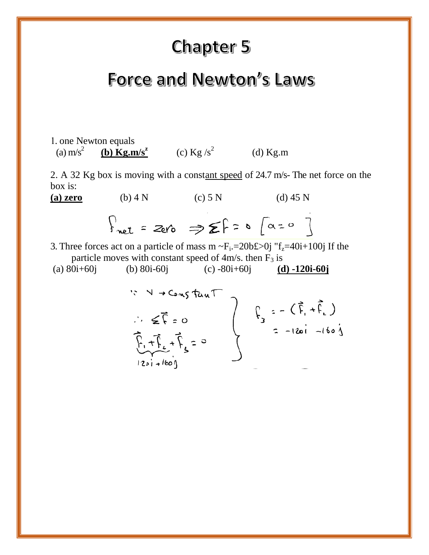# **Chapter 5**

## Force and Newton's Laws

1. one Newton equals (a)  $\text{m/s}^2$ **(b)**  $\text{Kg.m/s}^2$  (c)  $\text{Kg/s}^2$  (d)  $\text{Kg.m}$ 

2. A 32 Kg box is moving with a constant speed of 24.7 m/s- The net force on the box is:

**(a) zero** (b) 4 N (c) 5 N (d) 45 N  $\int_{\text{net}}$  = 2ero  $\Rightarrow$   $\sum$   $\int$  =  $\circ$   $\int$   $\alpha = 0$   $\int$ 

3. Three forces act on a particle of mass  $m \sim F_i = 20b \pounds 0j$  " $f_z = 40i + 100j$  If the particle moves with constant speed of  $4m/s$ . then  $F_3$  is

(a) 80i+60j (b) 80i-60j (c) -80i+60j **(d) -120i-60j**

$$
5 \times 4 \rightarrow Constant
$$
  
\n
$$
\therefore \leq \overline{r} = 0
$$
  
\n
$$
\overline{r}_{1} + \overline{r}_{2} + \overline{r}_{3} = 0
$$
  
\n
$$
120i + 160j
$$
  
\n
$$
120i + 160j
$$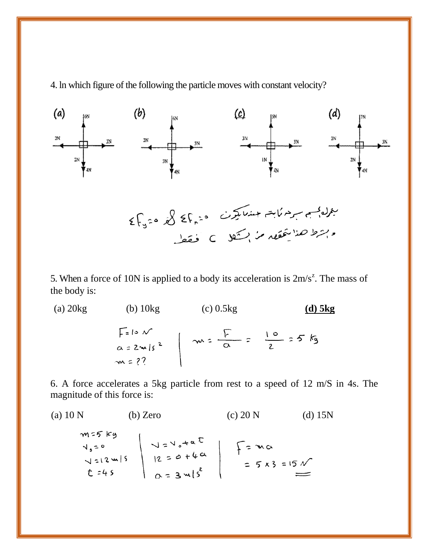4. ln which figure of the following the particle moves with constant velocity?



5. When a force of 10N is applied to a body its acceleration is  $2m/s^2$ . The mass of the body is:

(a) 20kg (b) 10kg (c) 0.5kg **(d) 5kg**  $F = 10 N$ <br>a=2m/s<sup>2</sup>  $\sim 2$ <br>m=??

6. A force accelerates a 5kg particle from rest to a speed of 12 m/S in 4s. The magnitude of this force is:

(a) 10 N (b) Zero (c) 20 N (d) 15N  
\n
$$
m=5 k y
$$
  
\n $v_0=0$   
\n $v_1=2 m/5$   
\n $t=45$   
\n $\alpha = 3 m/5^2$   
\n $\alpha = 3 m/5^2$   
\n $\alpha = 3 m/5^2$   
\n $\alpha = 3 m/5$   
\n(b) Zero (c) 20 N (d) 15N (e) 15N (f) 15N (g) 15N (h) 15N (h) 15N (i) 15N (j) 15N (k) 15N (l) 15N (l) 15N (l) 15N (l) 15N (l) 15N (l) 15N (l) 15N (l) 15N (l) 15N (l) 15N (l) 15N (l) 15N (l) 15N (l) 15N (l) 15N (l) 15N (l) 15N (l) 15N (l) 15N (l) 15N (l) 15N (l) 15N (l) 15N (l) 15N (l) 15N (l) 15N (l) 15N (l) 15N (l) 15N (l) 15N (l) 15N (l) 15N (l) 15N (l) 15N (l) 15N (l) 15N (l) 15N (l) 15N (l) 15N (l) 15N (l) 15N (l) 15N (l) 15N (l) 15N (l) 15N (l) 15N (l) 15N (l) 15N (l) 15N (l) 15N (l) 15N (l) 15N (l) 15N (l) 15N (l) 15N (l) 15N (l) 15N (l) 15N (l) 15N (l) 15N (l) 15N (l) 15N (l) 15N (l) 15N (l) 15N (l) 15N (l) 15N (l) 15N (l) 15N (l) 15N (l) 15N (l) 15N (l) 15N (l) 15N (l) 15N (l) 15N (l) 15N (l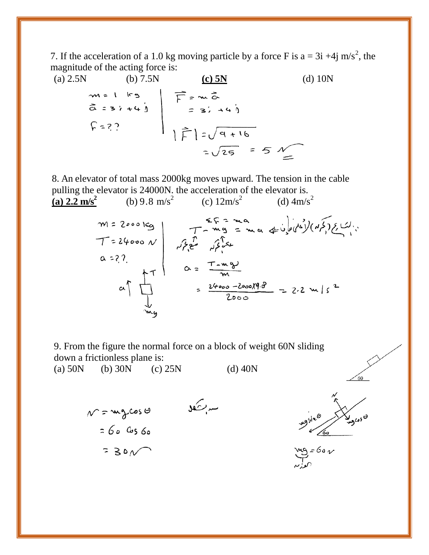7. If the acceleration of a 1.0 kg moving particle by a force F is a = 3i +4j m/s<sup>2</sup>, the magnitude of the acting force is:

(a) 2.5N  
\n
$$
\begin{array}{ccc}\n& (b) 7.5N & (c) 5N & (d) 10N \\
& (d) 10N & (e) 5N & (f) 3N \\
& (e) 5N & (g) 10N\n\end{array}
$$
\n $\begin{array}{c|c}\n\overline{F} = & (e) 5N & (g) 10N \\
& (h) 7.5N & (i) 10N\n\end{array}$ 

8. An elevator of total mass 2000kg moves upward. The tension in the cable pulling the elevator is 24000N. the acceleration of the elevator is. (b) 9.8 m/s<sup>2</sup> (c)  $12 \text{m/s}^2$ (d)  $4m/s^2$ 



9. From the figure the normal force on a block of weight 60N sliding down a frictionless plane is:

(a)  $50N$  (b)  $30N$  (c)  $25N$  (d)  $40N$ 





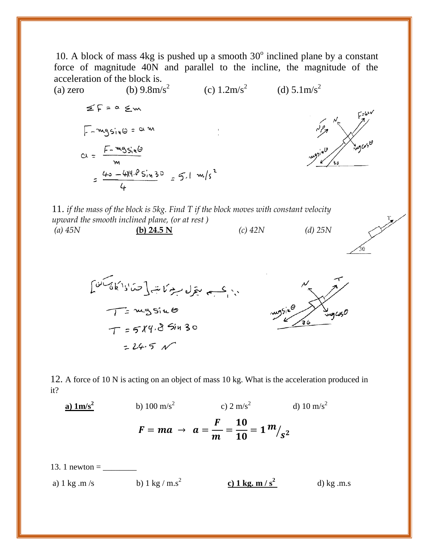10. A block of mass  $4kg$  is pushed up a smooth  $30^{\circ}$  inclined plane by a constant force of magnitude 40N and parallel to the incline, the magnitude of the acceleration of the block is.



11. *if the mass of the block is 5kg. Find T if the block moves with constant velocity upward the smooth inclined plane, (or at rest ) (a) 45N* **(b) 24.5 N** *(c) 42N (d) 25N*



12. A force of 10 N is acting on an object of mass 10 kg. What is the acceleration produced in it?

 **a) 1m/s<sup>2</sup>** b)  $100 \text{ m/s}^2$ c)  $2 \text{ m/s}^2$ d)  $10 \text{ m/s}^2$  $F = ma \rightarrow a =$ F  $\boldsymbol{m}$ =  $\frac{10}{10} = 1 \frac{m}{s^2}$ 

13. 1 newton = \_\_\_\_\_\_\_\_ a) 1 kg .m /s b) 1 kg / m.s<sup>2</sup> **c) 1 kg. m / s<sup>2</sup>** d) kg .m.s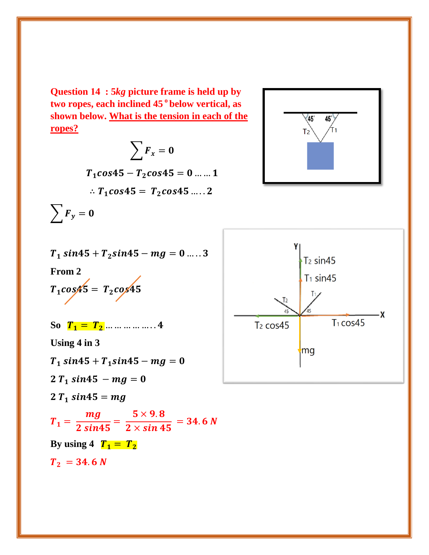**Question 14 : 5***kg* **picture frame is held up by two ropes, each inclined 45 <sup>o</sup>below vertical, as shown below. What is the tension in each of the ropes?**

$$
\sum F_x = 0
$$
  

$$
T_1 \cos 45 - T_2 \cos 45 = 0 \dots 1
$$
  

$$
\therefore T_1 \cos 45 = T_2 \cos 45 \dots 2
$$
  

$$
\sum F_y = 0
$$

$$
T_1 \sin 45 + T_2 \sin 45 - mg = 0 \dots 3
$$
  
From 2

 $T_1 \cos 45 = T_2 \cos 45$ 

So  $T_1 = T_2$  ... ... ... ... ... . 4

**Using 4 in 3** 

 $T_1 \, sin45 + T_1 \, sin45 - mg = 0$ 

 $2T_1 \sin 45 - mg = 0$ 

 $2 T_1 \, sin45 = mg$ 

$$
T_1 = \frac{mg}{2 \sin 45} = \frac{5 \times 9.8}{2 \times \sin 45} = 34.6 N
$$

**By using 4**  $T_1 = T_2$ 

 $T_2 = 34.6 N$ 



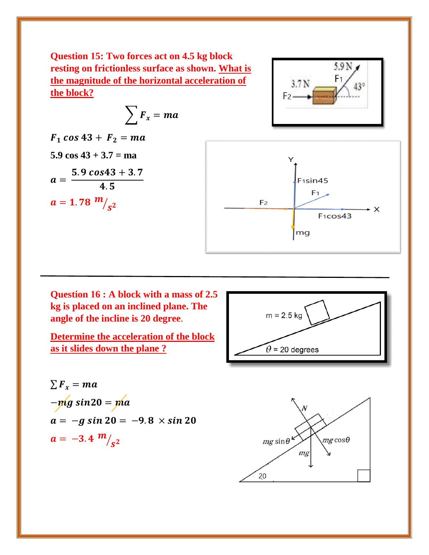**Question 15: Two forces act on 4.5 kg block resting on frictionless surface as shown. What is the magnitude of the horizontal acceleration of the block?**

$$
\sum \boldsymbol{F}_x = \boldsymbol{ma}
$$

 $F_1 \cos 43 + F_2 = ma$ **5.9 cos 43 + 3.7 = ma**   $a =$  $5.9 \cos 43 + 3.7$ 4.5  $a = 1.78 \frac{m}{s^2}$ 



 $5.9N<sub>1</sub>$ 

 $F<sub>1</sub>$ 

**Question 16 : A block with a mass of 2.5 kg is placed on an inclined plane. The angle of the incline is 20 degree**.

**Determine the acceleration of the block as it slides down the plane ?**



$$
\sum F_x = ma
$$
  
- $mfg \sin 20 = ma$   
 $a = -g \sin 20 = -9.8 \times \sin 20$   
 $a = -3.4 \frac{m}{s^2}$ 

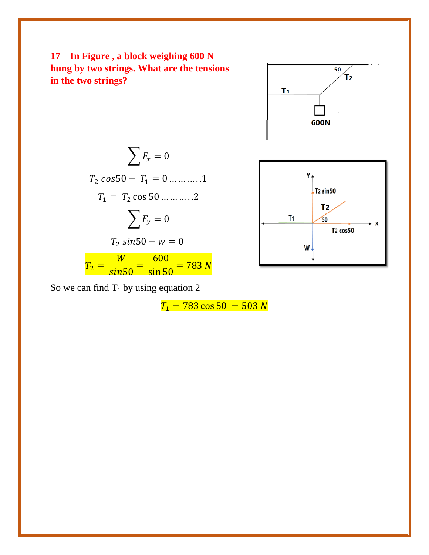



 $\sum F_x = 0$  $T_2 \cos 50 - T_1 = 0 \dots \dots \dots 1$  $T_1 = T_2 \cos 50 \dots \dots \dots 2$  $\sum F_y = 0$  $T_2 \sin 50 - w = 0$  $T_2 =$  $W$  $\frac{1}{\sin 50}$  = 600  $\frac{1888}{\sin 50}$  = 783 N

So we can find  $T_1$  by using equation 2

 $T_1 = 783 \cos 50 = 503 N$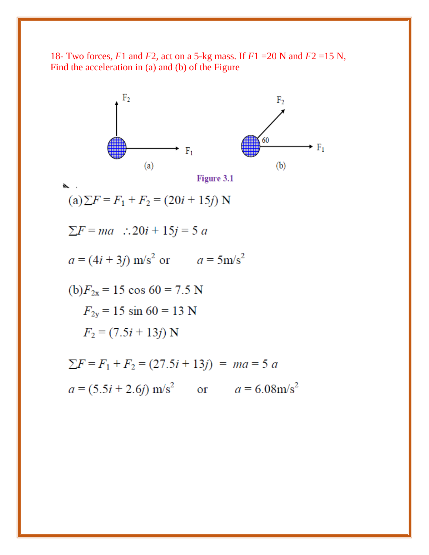18- Two forces, *F*1 and *F*2, act on a 5-kg mass. If *F*1 =20 N and *F*2 =15 N*,* Find the acceleration in (a) and (b) of the Figure

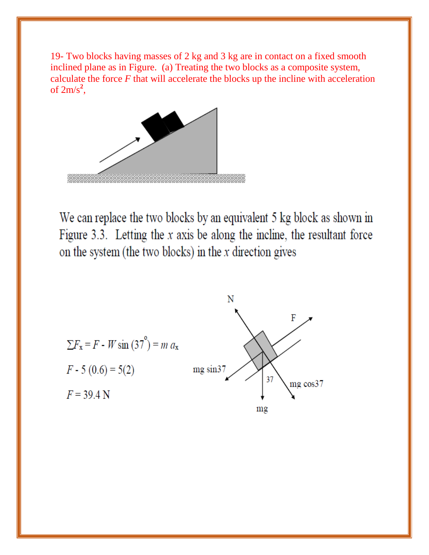19- Two blocks having masses of 2 kg and 3 kg are in contact on a fixed smooth inclined plane as in Figure. (a) Treating the two blocks as a composite system, calculate the force *F* that will accelerate the blocks up the incline with acceleration of  $2m/s^2$ ,



We can replace the two blocks by an equivalent 5 kg block as shown in Figure 3.3. Letting the  $x$  axis be along the incline, the resultant force on the system (the two blocks) in the  $x$  direction gives